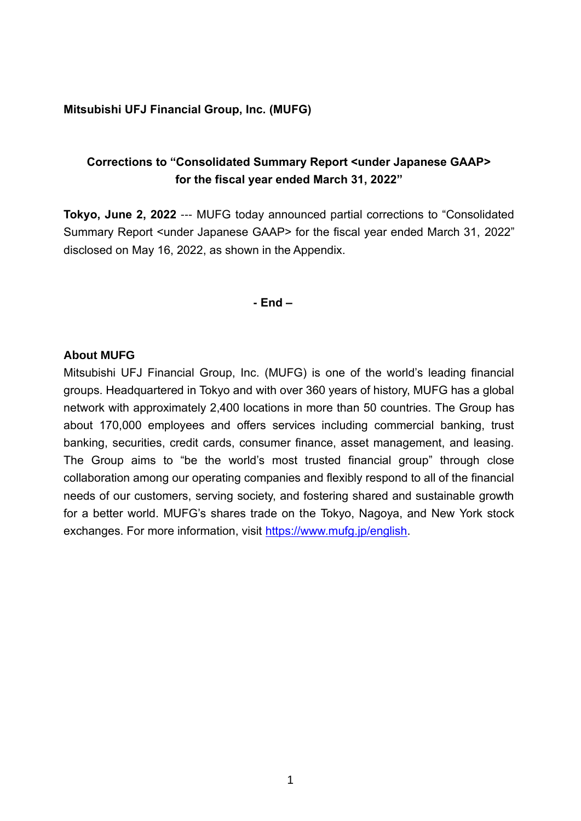#### **Mitsubishi UFJ Financial Group, Inc. (MUFG)**

### **Corrections to "Consolidated Summary Report <under Japanese GAAP> for the fiscal year ended March 31, 2022"**

**Tokyo, June 2, 2022** --- MUFG today announced partial corrections to "Consolidated Summary Report <under Japanese GAAP> for the fiscal year ended March 31, 2022" disclosed on May 16, 2022, as shown in the Appendix.

**- End –**

#### **About MUFG**

Mitsubishi UFJ Financial Group, Inc. (MUFG) is one of the world's leading financial groups. Headquartered in Tokyo and with over 360 years of history, MUFG has a global network with approximately 2,400 locations in more than 50 countries. The Group has about 170,000 employees and offers services including commercial banking, trust banking, securities, credit cards, consumer finance, asset management, and leasing. The Group aims to "be the world's most trusted financial group" through close collaboration among our operating companies and flexibly respond to all of the financial needs of our customers, serving society, and fostering shared and sustainable growth for a better world. MUFG's shares trade on the Tokyo, Nagoya, and New York stock exchanges. For more information, visit [https://www.mufg.jp/english.](https://www.mufg.jp/english)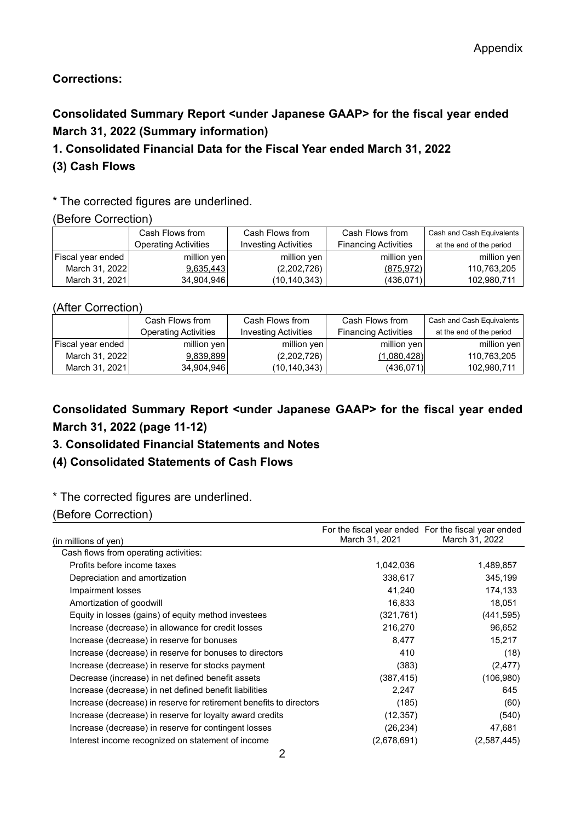### **Corrections:**

# **Consolidated Summary Report <under Japanese GAAP> for the fiscal year ended March 31, 2022 (Summary information)**

### **1. Consolidated Financial Data for the Fiscal Year ended March 31, 2022**

### **(3) Cash Flows**

### \* The corrected figures are underlined.

#### (Before Correction)

|                          | Cash Flows from             | Cash Flows from             | Cash Flows from             | Cash and Cash Equivalents |
|--------------------------|-----------------------------|-----------------------------|-----------------------------|---------------------------|
|                          | <b>Operating Activities</b> | <b>Investing Activities</b> | <b>Financing Activities</b> | at the end of the period  |
| <b>Fiscal year ended</b> | million yen                 | million yen                 | million yen                 | million yen               |
| March 31, 2022           | 9,635,443                   | (2,202,726)                 | (875, 972)                  | 110,763,205               |
| March 31, 2021           | 34,904,946                  | (10,140,343)                | (436,071)                   | 102,980,711               |

#### (After Correction)

|                          | Cash Flows from             | Cash Flows from             | Cash Flows from             | Cash and Cash Equivalents |
|--------------------------|-----------------------------|-----------------------------|-----------------------------|---------------------------|
|                          | <b>Operating Activities</b> | <b>Investing Activities</b> | <b>Financing Activities</b> | at the end of the period  |
| <b>Fiscal year ended</b> | million yen                 | million yen                 | million yen                 | million yen               |
| March 31, 2022           | 9,839,899                   | (2,202,726)                 | (1,080,428)                 | 110,763,205               |
| March 31, 2021           | 34.904.946                  | (10, 140, 343)              | (436.071)                   | 102,980,711               |

## **Consolidated Summary Report <under Japanese GAAP> for the fiscal year ended March 31, 2022 (page 11-12)**

### **3. Consolidated Financial Statements and Notes**

### **(4) Consolidated Statements of Cash Flows**

### \* The corrected figures are underlined.

#### (Before Correction)

| (in millions of yen)                                                | March 31, 2021 | For the fiscal year ended For the fiscal year ended<br>March 31, 2022 |
|---------------------------------------------------------------------|----------------|-----------------------------------------------------------------------|
| Cash flows from operating activities:                               |                |                                                                       |
| Profits before income taxes                                         | 1,042,036      | 1,489,857                                                             |
| Depreciation and amortization                                       | 338,617        | 345,199                                                               |
| Impairment losses                                                   | 41,240         | 174,133                                                               |
| Amortization of goodwill                                            | 16,833         | 18,051                                                                |
| Equity in losses (gains) of equity method investees                 | (321,761)      | (441, 595)                                                            |
| Increase (decrease) in allowance for credit losses                  | 216,270        | 96,652                                                                |
| Increase (decrease) in reserve for bonuses                          | 8,477          | 15,217                                                                |
| Increase (decrease) in reserve for bonuses to directors             | 410            | (18)                                                                  |
| Increase (decrease) in reserve for stocks payment                   | (383)          | (2, 477)                                                              |
| Decrease (increase) in net defined benefit assets                   | (387,415)      | (106, 980)                                                            |
| Increase (decrease) in net defined benefit liabilities              | 2,247          | 645                                                                   |
| Increase (decrease) in reserve for retirement benefits to directors | (185)          | (60)                                                                  |
| Increase (decrease) in reserve for loyalty award credits            | (12, 357)      | (540)                                                                 |
| Increase (decrease) in reserve for contingent losses                | (26, 234)      | 47,681                                                                |
| Interest income recognized on statement of income                   | (2,678,691)    | (2,587,445)                                                           |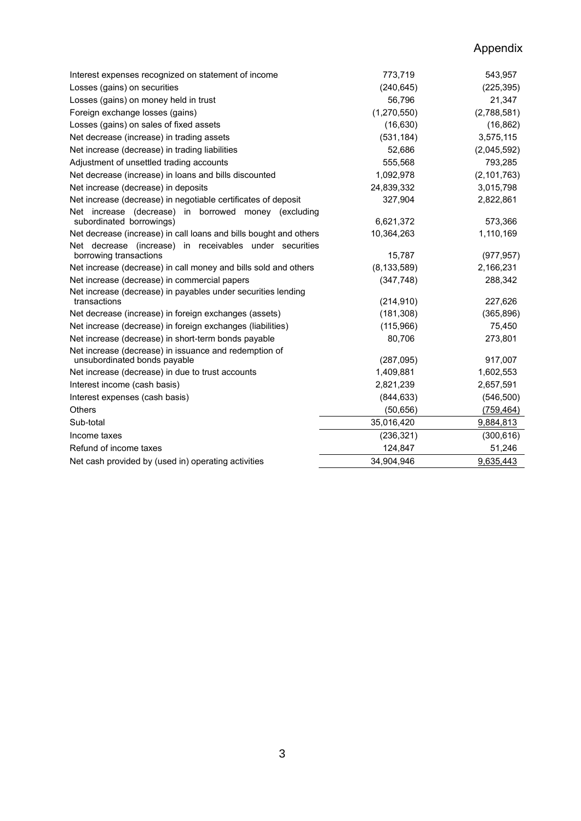## Appendix

| Interest expenses recognized on statement of income                               | 773,719       | 543,957       |
|-----------------------------------------------------------------------------------|---------------|---------------|
| Losses (gains) on securities                                                      | (240, 645)    | (225, 395)    |
| Losses (gains) on money held in trust                                             | 56,796        | 21,347        |
| Foreign exchange losses (gains)                                                   | (1,270,550)   | (2,788,581)   |
| Losses (gains) on sales of fixed assets                                           | (16, 630)     | (16, 862)     |
| Net decrease (increase) in trading assets                                         | (531, 184)    | 3,575,115     |
| Net increase (decrease) in trading liabilities                                    | 52,686        | (2,045,592)   |
| Adjustment of unsettled trading accounts                                          | 555,568       | 793,285       |
| Net decrease (increase) in loans and bills discounted                             | 1,092,978     | (2, 101, 763) |
| Net increase (decrease) in deposits                                               | 24,839,332    | 3,015,798     |
| Net increase (decrease) in negotiable certificates of deposit                     | 327,904       | 2,822,861     |
| Net increase (decrease) in borrowed money (excluding                              |               |               |
| subordinated borrowings)                                                          | 6,621,372     | 573,366       |
| Net decrease (increase) in call loans and bills bought and others                 | 10,364,263    | 1,110,169     |
| Net decrease (increase) in receivables under securities<br>borrowing transactions | 15,787        | (977, 957)    |
| Net increase (decrease) in call money and bills sold and others                   | (8, 133, 589) | 2,166,231     |
| Net increase (decrease) in commercial papers                                      | (347, 748)    | 288,342       |
| Net increase (decrease) in payables under securities lending                      |               |               |
| transactions                                                                      | (214, 910)    | 227,626       |
| Net decrease (increase) in foreign exchanges (assets)                             | (181, 308)    | (365, 896)    |
| Net increase (decrease) in foreign exchanges (liabilities)                        | (115,966)     | 75,450        |
| Net increase (decrease) in short-term bonds payable                               | 80,706        | 273,801       |
| Net increase (decrease) in issuance and redemption of                             |               |               |
| unsubordinated bonds payable                                                      | (287,095)     | 917,007       |
| Net increase (decrease) in due to trust accounts                                  | 1,409,881     | 1,602,553     |
| Interest income (cash basis)                                                      | 2,821,239     | 2,657,591     |
| Interest expenses (cash basis)                                                    | (844, 633)    | (546, 500)    |
| <b>Others</b>                                                                     | (50, 656)     | (759, 464)    |
| Sub-total                                                                         | 35,016,420    | 9,884,813     |
| Income taxes                                                                      | (236, 321)    | (300, 616)    |
| Refund of income taxes                                                            | 124,847       | 51,246        |
| Net cash provided by (used in) operating activities                               | 34,904,946    | 9,635,443     |
|                                                                                   |               |               |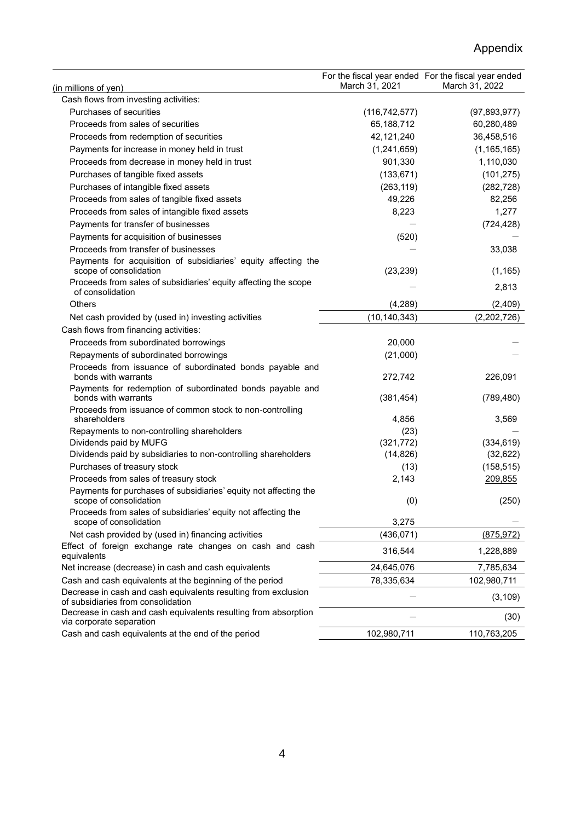## Appendix

|                                                                                                      | March 31, 2021       | For the fiscal year ended For the fiscal year ended<br>March 31, 2022 |
|------------------------------------------------------------------------------------------------------|----------------------|-----------------------------------------------------------------------|
| (in millions of yen)<br>Cash flows from investing activities:                                        |                      |                                                                       |
| Purchases of securities                                                                              | (116, 742, 577)      | (97, 893, 977)                                                        |
| Proceeds from sales of securities                                                                    | 65,188,712           | 60,280,489                                                            |
| Proceeds from redemption of securities                                                               | 42,121,240           | 36,458,516                                                            |
| Payments for increase in money held in trust                                                         | (1,241,659)          | (1, 165, 165)                                                         |
| Proceeds from decrease in money held in trust                                                        | 901,330              | 1,110,030                                                             |
| Purchases of tangible fixed assets                                                                   | (133, 671)           | (101, 275)                                                            |
|                                                                                                      |                      | (282, 728)                                                            |
| Purchases of intangible fixed assets<br>Proceeds from sales of tangible fixed assets                 | (263, 119)<br>49,226 |                                                                       |
|                                                                                                      |                      | 82,256<br>1,277                                                       |
| Proceeds from sales of intangible fixed assets                                                       | 8,223                |                                                                       |
| Payments for transfer of businesses                                                                  |                      | (724, 428)                                                            |
| Payments for acquisition of businesses<br>Proceeds from transfer of businesses                       | (520)                |                                                                       |
|                                                                                                      |                      | 33,038                                                                |
| Payments for acquisition of subsidiaries' equity affecting the<br>scope of consolidation             | (23, 239)            | (1, 165)                                                              |
| Proceeds from sales of subsidiaries' equity affecting the scope                                      |                      |                                                                       |
| of consolidation                                                                                     |                      | 2,813                                                                 |
| <b>Others</b>                                                                                        | (4, 289)             | (2,409)                                                               |
| Net cash provided by (used in) investing activities                                                  | (10, 140, 343)       | (2,202,726)                                                           |
| Cash flows from financing activities:                                                                |                      |                                                                       |
| Proceeds from subordinated borrowings                                                                | 20,000               |                                                                       |
| Repayments of subordinated borrowings                                                                | (21,000)             |                                                                       |
| Proceeds from issuance of subordinated bonds payable and<br>bonds with warrants                      | 272,742              | 226,091                                                               |
| Payments for redemption of subordinated bonds payable and<br>bonds with warrants                     | (381, 454)           | (789, 480)                                                            |
| Proceeds from issuance of common stock to non-controlling                                            |                      |                                                                       |
| shareholders                                                                                         | 4,856                | 3,569                                                                 |
| Repayments to non-controlling shareholders                                                           | (23)                 |                                                                       |
| Dividends paid by MUFG                                                                               | (321, 772)           | (334, 619)                                                            |
| Dividends paid by subsidiaries to non-controlling shareholders                                       | (14, 826)            | (32, 622)                                                             |
| Purchases of treasury stock                                                                          | (13)                 | (158, 515)                                                            |
| Proceeds from sales of treasury stock                                                                | 2,143                | 209,855                                                               |
| Payments for purchases of subsidiaries' equity not affecting the<br>scope of consolidation           | (0)                  | (250)                                                                 |
| Proceeds from sales of subsidiaries' equity not affecting the<br>scope of consolidation              | 3,275                |                                                                       |
| Net cash provided by (used in) financing activities                                                  | (436, 071)           | (875, 972)                                                            |
| Effect of foreign exchange rate changes on cash and cash<br>equivalents                              | 316,544              | 1,228,889                                                             |
| Net increase (decrease) in cash and cash equivalents                                                 | 24,645,076           | 7,785,634                                                             |
| Cash and cash equivalents at the beginning of the period                                             | 78,335,634           | 102,980,711                                                           |
| Decrease in cash and cash equivalents resulting from exclusion<br>of subsidiaries from consolidation |                      | (3, 109)                                                              |
| Decrease in cash and cash equivalents resulting from absorption<br>via corporate separation          |                      | (30)                                                                  |
| Cash and cash equivalents at the end of the period                                                   | 102,980,711          | 110,763,205                                                           |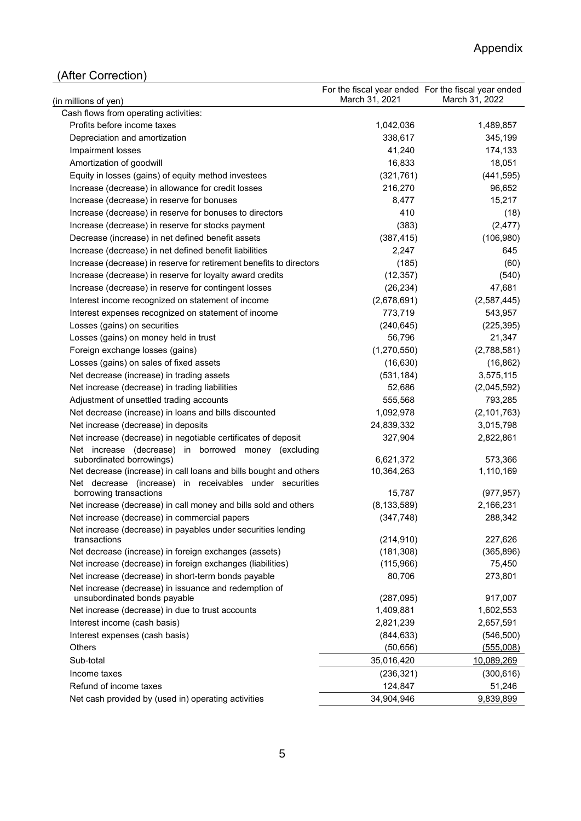# (After Correction)

| (in millions of yen)                                                                      | March 31, 2021          | For the fiscal year ended For the fiscal year ended<br>March 31, 2022 |
|-------------------------------------------------------------------------------------------|-------------------------|-----------------------------------------------------------------------|
| Cash flows from operating activities:                                                     |                         |                                                                       |
| Profits before income taxes                                                               | 1,042,036               | 1,489,857                                                             |
| Depreciation and amortization                                                             | 338,617                 | 345,199                                                               |
| Impairment losses                                                                         | 41,240                  | 174,133                                                               |
| Amortization of goodwill                                                                  | 16,833                  | 18,051                                                                |
| Equity in losses (gains) of equity method investees                                       | (321, 761)              | (441, 595)                                                            |
| Increase (decrease) in allowance for credit losses                                        | 216,270                 | 96,652                                                                |
| Increase (decrease) in reserve for bonuses                                                | 8,477                   | 15,217                                                                |
| Increase (decrease) in reserve for bonuses to directors                                   | 410                     | (18)                                                                  |
| Increase (decrease) in reserve for stocks payment                                         | (383)                   | (2, 477)                                                              |
| Decrease (increase) in net defined benefit assets                                         | (387, 415)              | (106, 980)                                                            |
| Increase (decrease) in net defined benefit liabilities                                    | 2,247                   | 645                                                                   |
| Increase (decrease) in reserve for retirement benefits to directors                       | (185)                   | (60)                                                                  |
| Increase (decrease) in reserve for loyalty award credits                                  | (12, 357)               | (540)                                                                 |
| Increase (decrease) in reserve for contingent losses                                      | (26, 234)               | 47,681                                                                |
| Interest income recognized on statement of income                                         | (2,678,691)             | (2,587,445)                                                           |
| Interest expenses recognized on statement of income                                       | 773,719                 | 543,957                                                               |
| Losses (gains) on securities                                                              | (240, 645)              | (225, 395)                                                            |
| Losses (gains) on money held in trust                                                     | 56,796                  | 21,347                                                                |
| Foreign exchange losses (gains)                                                           | (1,270,550)             | (2,788,581)                                                           |
| Losses (gains) on sales of fixed assets                                                   | (16, 630)               | (16, 862)                                                             |
| Net decrease (increase) in trading assets                                                 | (531, 184)              | 3,575,115                                                             |
| Net increase (decrease) in trading liabilities                                            | 52,686                  | (2,045,592)                                                           |
| Adjustment of unsettled trading accounts                                                  | 555,568                 | 793,285                                                               |
| Net decrease (increase) in loans and bills discounted                                     | 1,092,978               | (2, 101, 763)                                                         |
| Net increase (decrease) in deposits                                                       | 24,839,332              | 3,015,798                                                             |
| Net increase (decrease) in negotiable certificates of deposit                             | 327,904                 | 2,822,861                                                             |
| Net increase (decrease) in borrowed money (excluding                                      |                         |                                                                       |
| subordinated borrowings)                                                                  | 6,621,372               | 573,366                                                               |
| Net decrease (increase) in call loans and bills bought and others                         | 10,364,263              | 1,110,169                                                             |
| Net decrease (increase) in receivables under securities                                   |                         |                                                                       |
| borrowing transactions<br>Net increase (decrease) in call money and bills sold and others | 15,787<br>(8, 133, 589) | (977, 957)<br>2,166,231                                               |
| Net increase (decrease) in commercial papers                                              | (347, 748)              | 288,342                                                               |
| Net increase (decrease) in payables under securities lending                              |                         |                                                                       |
| transactions                                                                              | (214, 910)              | 227,626                                                               |
| Net decrease (increase) in foreign exchanges (assets)                                     | (181, 308)              | (365, 896)                                                            |
| Net increase (decrease) in foreign exchanges (liabilities)                                | (115,966)               | 75,450                                                                |
| Net increase (decrease) in short-term bonds payable                                       | 80,706                  | 273,801                                                               |
| Net increase (decrease) in issuance and redemption of                                     |                         |                                                                       |
| unsubordinated bonds payable                                                              | (287,095)               | 917,007                                                               |
| Net increase (decrease) in due to trust accounts                                          | 1,409,881               | 1,602,553                                                             |
| Interest income (cash basis)                                                              | 2,821,239               | 2,657,591                                                             |
| Interest expenses (cash basis)                                                            | (844, 633)              | (546, 500)                                                            |
| Others                                                                                    | (50, 656)               | (555,008)                                                             |
| Sub-total                                                                                 | 35,016,420              | 10,089,269                                                            |
| Income taxes                                                                              | (236, 321)              | (300, 616)                                                            |
| Refund of income taxes                                                                    | 124,847                 | 51,246                                                                |
| Net cash provided by (used in) operating activities                                       | 34,904,946              | 9,839,899                                                             |